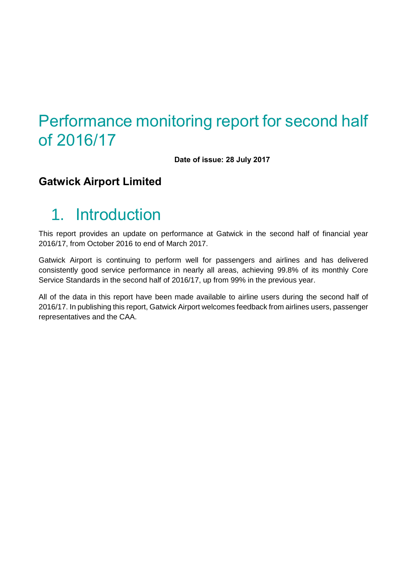# Performance monitoring report for second half of 2016/17

**Date of issue: 28 July 2017**

### **Gatwick Airport Limited**

# 1. Introduction

This report provides an update on performance at Gatwick in the second half of financial year 2016/17, from October 2016 to end of March 2017.

Gatwick Airport is continuing to perform well for passengers and airlines and has delivered consistently good service performance in nearly all areas, achieving 99.8% of its monthly Core Service Standards in the second half of 2016/17, up from 99% in the previous year.

All of the data in this report have been made available to airline users during the second half of 2016/17. In publishing this report, Gatwick Airport welcomes feedback from airlines users, passenger representatives and the CAA.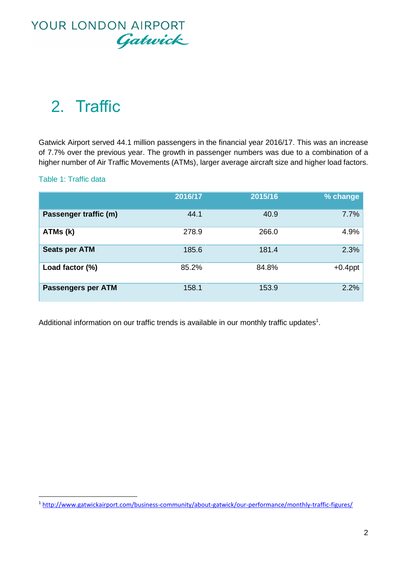

# 2. Traffic

Gatwick Airport served 44.1 million passengers in the financial year 2016/17. This was an increase of 7.7% over the previous year. The growth in passenger numbers was due to a combination of a higher number of Air Traffic Movements (ATMs), larger average aircraft size and higher load factors.

#### Table 1: Traffic data

 $\overline{a}$ 

|                           | 2016/17 | 2015/16 | % change   |
|---------------------------|---------|---------|------------|
| Passenger traffic (m)     | 44.1    | 40.9    | 7.7%       |
| ATMs (k)                  | 278.9   | 266.0   | 4.9%       |
| <b>Seats per ATM</b>      | 185.6   | 181.4   | 2.3%       |
| Load factor (%)           | 85.2%   | 84.8%   | $+0.4$ ppt |
| <b>Passengers per ATM</b> | 158.1   | 153.9   | 2.2%       |

Additional information on our traffic trends is available in our monthly traffic updates<sup>1</sup>.

<sup>1</sup> <http://www.gatwickairport.com/business-community/about-gatwick/our-performance/monthly-traffic-figures/>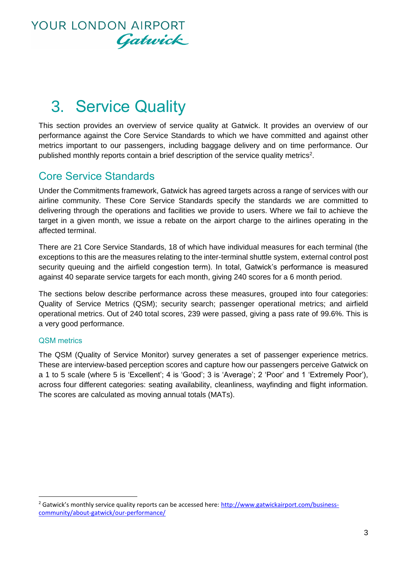

# 3. Service Quality

This section provides an overview of service quality at Gatwick. It provides an overview of our performance against the Core Service Standards to which we have committed and against other metrics important to our passengers, including baggage delivery and on time performance. Our published monthly reports contain a brief description of the service quality metrics<sup>2</sup>.

### Core Service Standards

Under the Commitments framework, Gatwick has agreed targets across a range of services with our airline community. These Core Service Standards specify the standards we are committed to delivering through the operations and facilities we provide to users. Where we fail to achieve the target in a given month, we issue a rebate on the airport charge to the airlines operating in the affected terminal.

There are 21 Core Service Standards, 18 of which have individual measures for each terminal (the exceptions to this are the measures relating to the inter-terminal shuttle system, external control post security queuing and the airfield congestion term). In total, Gatwick's performance is measured against 40 separate service targets for each month, giving 240 scores for a 6 month period.

The sections below describe performance across these measures, grouped into four categories: Quality of Service Metrics (QSM); security search; passenger operational metrics; and airfield operational metrics. Out of 240 total scores, 239 were passed, giving a pass rate of 99.6%. This is a very good performance.

#### QSM metrics

 $\overline{a}$ 

The QSM (Quality of Service Monitor) survey generates a set of passenger experience metrics. These are interview-based perception scores and capture how our passengers perceive Gatwick on a 1 to 5 scale (where 5 is 'Excellent'; 4 is 'Good'; 3 is 'Average'; 2 'Poor' and 1 'Extremely Poor'), across four different categories: seating availability, cleanliness, wayfinding and flight information. The scores are calculated as moving annual totals (MATs).

 $<sup>2</sup>$  Gatwick's monthly service quality reports can be accessed here: http://www.gatwickairport.com/business-</sup> [community/about-gatwick/our-performance/](http://www.gatwickairport.com/business-community/about-gatwick/our-performance/)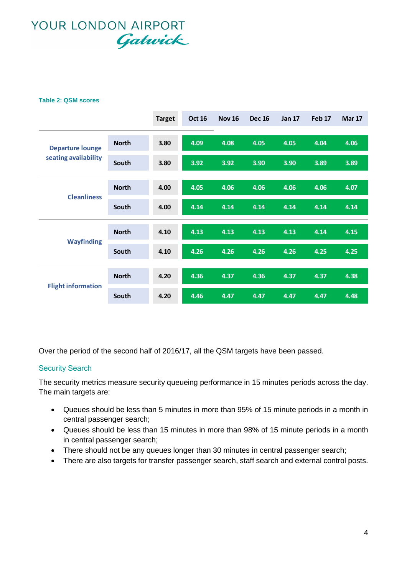#### **Table 2: QSM scores**

|                                             |              | <b>Target</b> | <b>Oct 16</b> | <b>Nov 16</b> | <b>Dec 16</b> | <b>Jan 17</b> | Feb <sub>17</sub> | <b>Mar 17</b> |
|---------------------------------------------|--------------|---------------|---------------|---------------|---------------|---------------|-------------------|---------------|
| <b>Departure lounge</b>                     | <b>North</b> | 3.80          | 4.09          | 4.08          | 4.05          | 4.05          | 4.04              | 4.06          |
| seating availability                        | South        | 3.80          | 3.92          | 3.92          | 3.90          | 3.90          | 3.89              | 3.89          |
| <b>North</b><br><b>Cleanliness</b><br>South |              | 4.00          | 4.05          | 4.06          | 4.06          | 4.06          | 4.06              | 4.07          |
|                                             |              | 4.00          | 4.14          | 4.14          | 4.14          | 4.14          | 4.14              | 4.14          |
| <b>North</b><br><b>Wayfinding</b><br>South  |              | 4.10          | 4.13          | 4.13          | 4.13          | 4.13          | 4.14              | 4.15          |
|                                             | 4.10         | 4.26          | 4.26          | 4.26          | 4.26          | 4.25          | 4.25              |               |
| <b>Flight information</b>                   | <b>North</b> | 4.20          | 4.36          | 4.37          | 4.36          | 4.37          | 4.37              | 4.38          |
|                                             | South        | 4.20          | 4.46          | 4.47          | 4.47          | 4.47          | 4.47              | 4.48          |

Over the period of the second half of 2016/17, all the QSM targets have been passed.

#### Security Search

The security metrics measure security queueing performance in 15 minutes periods across the day. The main targets are:

- Queues should be less than 5 minutes in more than 95% of 15 minute periods in a month in central passenger search;
- Queues should be less than 15 minutes in more than 98% of 15 minute periods in a month in central passenger search;
- There should not be any queues longer than 30 minutes in central passenger search;
- There are also targets for transfer passenger search, staff search and external control posts.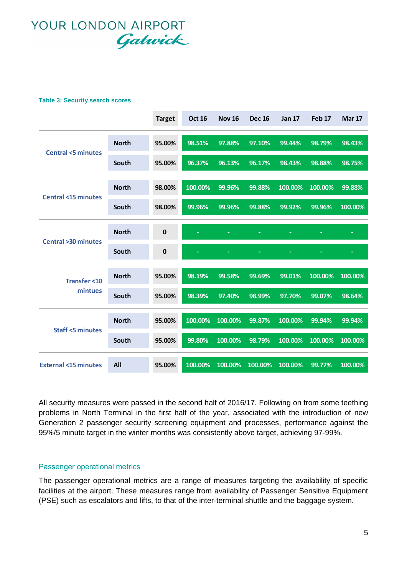#### **Table 3: Security search scores**

|                               |              | <b>Target</b> | <b>Oct 16</b> | <b>Nov 16</b> | <b>Dec 16</b> | <b>Jan 17</b> | <b>Feb 17</b> | <b>Mar 17</b> |
|-------------------------------|--------------|---------------|---------------|---------------|---------------|---------------|---------------|---------------|
| <b>Central &lt;5 minutes</b>  | <b>North</b> | 95.00%        | 98.51%        | 97.88%        | 97.10%        | 99.44%        | 98.79%        | 98.43%        |
|                               | South        | 95.00%        | 96.37%        | 96.13%        | 96.17%        | 98.43%        | 98.88%        | 98.75%        |
| <b>Central &lt;15 minutes</b> | <b>North</b> | 98.00%        | 100.00%       | 99.96%        | 99.88%        | 100.00%       | 100.00%       | 99.88%        |
|                               | South        | 98.00%        | 99.96%        | 99.96%        | 99.88%        | 99.92%        | 99.96%        | 100.00%       |
| <b>Central &gt;30 minutes</b> | <b>North</b> | $\bf{0}$      |               |               |               |               |               | ÷             |
|                               | South        | $\mathbf 0$   |               |               |               |               |               |               |
| <b>Transfer &lt;10</b>        | <b>North</b> | 95.00%        | 98.19%        | 99.58%        | 99.69%        | 99.01%        | 100.00%       | 100.00%       |
| mintues                       | South        | 95.00%        | 98.39%        | 97.40%        | 98.99%        | 97.70%        | 99.07%        | 98.64%        |
|                               |              |               |               |               |               |               |               |               |
|                               | <b>North</b> | 95.00%        | 100.00%       | 100.00%       | 99.87%        | 100.00%       | 99.94%        | 99.94%        |
| <b>Staff &lt;5 minutes</b>    | South        | 95.00%        | 99.80%        | 100.00%       | 98.79%        | 100.00%       | 100.00%       | 100.00%       |

All security measures were passed in the second half of 2016/17. Following on from some teething problems in North Terminal in the first half of the year, associated with the introduction of new Generation 2 passenger security screening equipment and processes, performance against the 95%/5 minute target in the winter months was consistently above target, achieving 97-99%.

#### Passenger operational metrics

The passenger operational metrics are a range of measures targeting the availability of specific facilities at the airport. These measures range from availability of Passenger Sensitive Equipment (PSE) such as escalators and lifts, to that of the inter-terminal shuttle and the baggage system.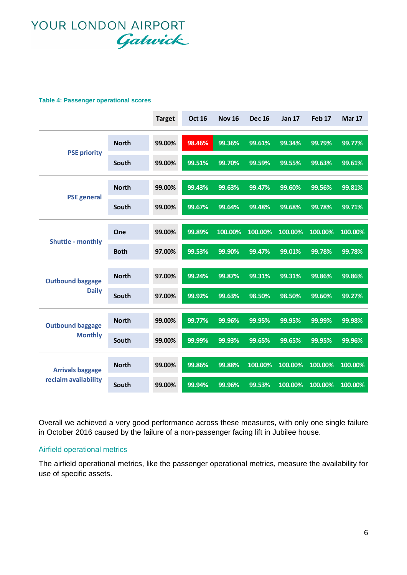#### **Table 4: Passenger operational scores**

|                                           |              | <b>Target</b> | <b>Oct 16</b> | <b>Nov 16</b> | <b>Dec 16</b> | <b>Jan 17</b> | <b>Feb 17</b> | <b>Mar 17</b> |
|-------------------------------------------|--------------|---------------|---------------|---------------|---------------|---------------|---------------|---------------|
| <b>PSE priority</b>                       | <b>North</b> | 99.00%        | 98.46%        | 99.36%        | 99.61%        | 99.34%        | 99.79%        | 99.77%        |
|                                           | South        | 99.00%        | 99.51%        | 99.70%        | 99.59%        | 99.55%        | 99.63%        | 99.61%        |
|                                           | <b>North</b> | 99.00%        | 99.43%        | 99.63%        | 99.47%        | 99.60%        | 99.56%        | 99.81%        |
| <b>PSE</b> general                        | South        | 99.00%        | 99.67%        | 99.64%        | 99.48%        | 99.68%        | 99.78%        | 99.71%        |
| <b>Shuttle - monthly</b>                  | One          | 99.00%        | 99.89%        | 100.00%       | 100.00%       | 100.00%       | 100.00%       | 100.00%       |
|                                           | <b>Both</b>  | 97.00%        | 99.53%        | 99.90%        | 99.47%        | 99.01%        | 99.78%        | 99.78%        |
| <b>Outbound baggage</b>                   | <b>North</b> | 97.00%        | 99.24%        | 99.87%        | 99.31%        | 99.31%        | 99.86%        | 99.86%        |
| <b>Daily</b>                              | South        | 97.00%        | 99.92%        | 99.63%        | 98.50%        | 98.50%        | 99.60%        | 99.27%        |
| <b>Outbound baggage</b><br><b>Monthly</b> | <b>North</b> | 99.00%        | 99.77%        | 99.96%        | 99.95%        | 99.95%        | 99.99%        | 99.98%        |
|                                           | South        | 99.00%        | 99.99%        | 99.93%        | 99.65%        | 99.65%        | 99.95%        | 99.96%        |
| <b>Arrivals baggage</b>                   | <b>North</b> | 99.00%        | 99.86%        | 99.88%        | 100.00%       | 100.00%       | 100.00%       | 100.00%       |
| reclaim availability                      | South        | 99.00%        | 99.94%        | 99.96%        | 99.53%        | 100.00%       | 100.00%       | 100.00%       |

Overall we achieved a very good performance across these measures, with only one single failure in October 2016 caused by the failure of a non-passenger facing lift in Jubilee house.

#### Airfield operational metrics

The airfield operational metrics, like the passenger operational metrics, measure the availability for use of specific assets.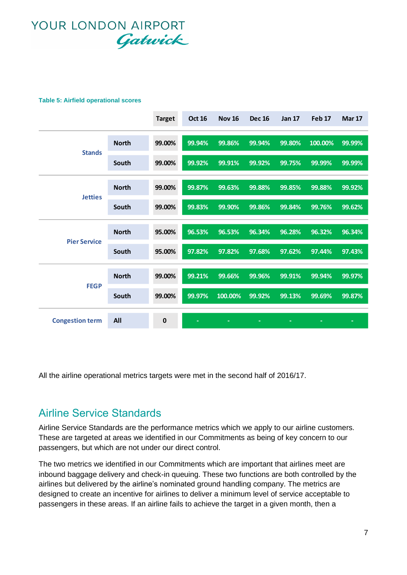#### **Table 5: Airfield operational scores**

|                        |                              | <b>Target</b> | <b>Oct 16</b> | <b>Nov 16</b> | <b>Dec 16</b> | <b>Jan 17</b> | <b>Feb 17</b> | <b>Mar 17</b> |
|------------------------|------------------------------|---------------|---------------|---------------|---------------|---------------|---------------|---------------|
|                        | <b>North</b>                 | 99.00%        | 99.94%        | 99.86%        | 99.94%        | 99.80%        | 100.00%       | 99.99%        |
| <b>Stands</b>          | South                        | 99.00%        | 99.92%        | 99.91%        | 99.92%        | 99.75%        | 99.99%        | 99.99%        |
|                        | <b>North</b>                 | 99.00%        | 99.87%        | 99.63%        | 99.88%        | 99.85%        | 99.88%        | 99.92%        |
|                        | <b>Jetties</b><br>South      | 99.00%        | 99.83%        | 99.90%        | 99.86%        | 99.84%        | 99.76%        | 99.62%        |
|                        | <b>North</b>                 | 95.00%        | 96.53%        | 96.53%        | 96.34%        | 96.28%        | 96.32%        | 96.34%        |
|                        | <b>Pier Service</b><br>South | 95.00%        | 97.82%        | 97.82%        | 97.68%        | 97.62%        | 97.44%        | 97.43%        |
|                        | <b>North</b>                 | 99.00%        | 99.21%        | 99.66%        | 99.96%        | 99.91%        | 99.94%        | 99.97%        |
| <b>FEGP</b>            | South                        | 99.00%        | 99.97%        | 100.00%       | 99.92%        | 99.13%        | 99.69%        | 99.87%        |
| <b>Congestion term</b> | All                          | $\bf{0}$      |               | ۳             | ٠             | ۳             |               |               |

All the airline operational metrics targets were met in the second half of 2016/17.

### Airline Service Standards

Airline Service Standards are the performance metrics which we apply to our airline customers. These are targeted at areas we identified in our Commitments as being of key concern to our passengers, but which are not under our direct control.

The two metrics we identified in our Commitments which are important that airlines meet are inbound baggage delivery and check-in queuing. These two functions are both controlled by the airlines but delivered by the airline's nominated ground handling company. The metrics are designed to create an incentive for airlines to deliver a minimum level of service acceptable to passengers in these areas. If an airline fails to achieve the target in a given month, then a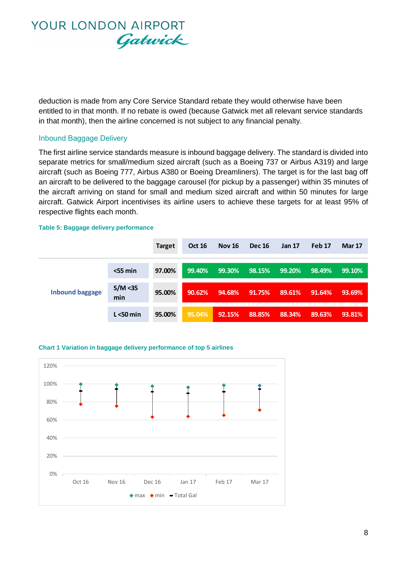

deduction is made from any Core Service Standard rebate they would otherwise have been entitled to in that month. If no rebate is owed (because Gatwick met all relevant service standards in that month), then the airline concerned is not subject to any financial penalty.

#### Inbound Baggage Delivery

The first airline service standards measure is inbound baggage delivery. The standard is divided into separate metrics for small/medium sized aircraft (such as a Boeing 737 or Airbus A319) and large aircraft (such as Boeing 777, Airbus A380 or Boeing Dreamliners). The target is for the last bag off an aircraft to be delivered to the baggage carousel (for pickup by a passenger) within 35 minutes of the aircraft arriving on stand for small and medium sized aircraft and within 50 minutes for large aircraft. Gatwick Airport incentivises its airline users to achieve these targets for at least 95% of respective flights each month.

#### **Table 5: Baggage delivery performance**

|                        |                 | <b>Target</b> | <b>Oct 16</b> | <b>Nov 16</b> | <b>Dec 16</b> | <b>Jan 17</b> | Feb 17 | <b>Mar 17</b> |
|------------------------|-----------------|---------------|---------------|---------------|---------------|---------------|--------|---------------|
|                        |                 |               |               |               |               |               |        |               |
|                        | $<$ 55 min      | 97.00%        | 99.40%        | 99.30%        | 98.15%        | 99.20%        | 98.49% | 99.10%        |
|                        |                 |               |               |               |               |               |        |               |
| <b>Inbound baggage</b> | S/M < 35<br>min | 95.00%        | 90.62%        | 94.68%        | 91.75%        | 89.61%        | 91.64% | 93.69%        |
|                        |                 |               |               |               |               |               |        |               |
|                        | $L < 50$ min    | 95.00%        | 95.04%        | 92.15%        | 88.85%        | 88.34%        | 89.63% | 93.81%        |

#### **Chart 1 Variation in baggage delivery performance of top 5 airlines**

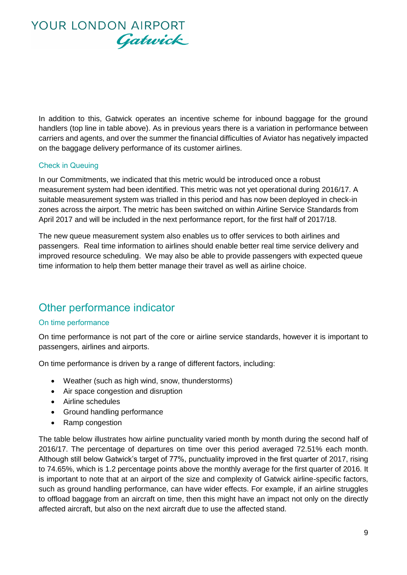

In addition to this, Gatwick operates an incentive scheme for inbound baggage for the ground handlers (top line in table above). As in previous years there is a variation in performance between carriers and agents, and over the summer the financial difficulties of Aviator has negatively impacted on the baggage delivery performance of its customer airlines.

#### Check in Queuing

In our Commitments, we indicated that this metric would be introduced once a robust measurement system had been identified. This metric was not yet operational during 2016/17. A suitable measurement system was trialled in this period and has now been deployed in check-in zones across the airport. The metric has been switched on within Airline Service Standards from April 2017 and will be included in the next performance report, for the first half of 2017/18.

The new queue measurement system also enables us to offer services to both airlines and passengers. Real time information to airlines should enable better real time service delivery and improved resource scheduling. We may also be able to provide passengers with expected queue time information to help them better manage their travel as well as airline choice.

### Other performance indicator

#### On time performance

On time performance is not part of the core or airline service standards, however it is important to passengers, airlines and airports.

On time performance is driven by a range of different factors, including:

- Weather (such as high wind, snow, thunderstorms)
- Air space congestion and disruption
- Airline schedules
- Ground handling performance
- Ramp congestion

The table below illustrates how airline punctuality varied month by month during the second half of 2016/17. The percentage of departures on time over this period averaged 72.51% each month. Although still below Gatwick's target of 77%, punctuality improved in the first quarter of 2017, rising to 74.65%, which is 1.2 percentage points above the monthly average for the first quarter of 2016. It is important to note that at an airport of the size and complexity of Gatwick airline-specific factors, such as ground handling performance, can have wider effects. For example, if an airline struggles to offload baggage from an aircraft on time, then this might have an impact not only on the directly affected aircraft, but also on the next aircraft due to use the affected stand.